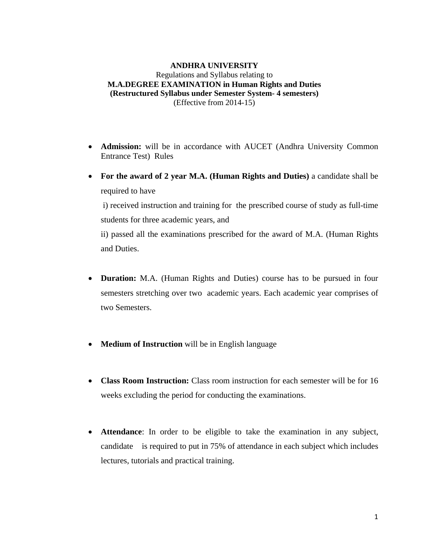#### **ANDHRA UNIVERSITY**  Regulations and Syllabus relating to **M.A.DEGREE EXAMINATION in Human Rights and Duties (Restructured Syllabus under Semester System- 4 semesters)**  (Effective from 2014-15)

- **Admission:** will be in accordance with AUCET (Andhra University Common Entrance Test)Rules
- **For the award of 2 year M.A. (Human Rights and Duties)** a candidate shall be required to have

 i) received instruction and training for the prescribed course of study as full-time students for three academic years, and

ii) passed all the examinations prescribed for the award of M.A. (Human Rights and Duties.

- **Duration:** M.A. (Human Rights and Duties) course has to be pursued in four semesters stretching over two academic years. Each academic year comprises of two Semesters.
- **Medium of Instruction** will be in English language
- **Class Room Instruction:** Class room instruction for each semester will be for 16 weeks excluding the period for conducting the examinations.
- **Attendance**: In order to be eligible to take the examination in any subject, candidate is required to put in 75% of attendance in each subject which includes lectures, tutorials and practical training.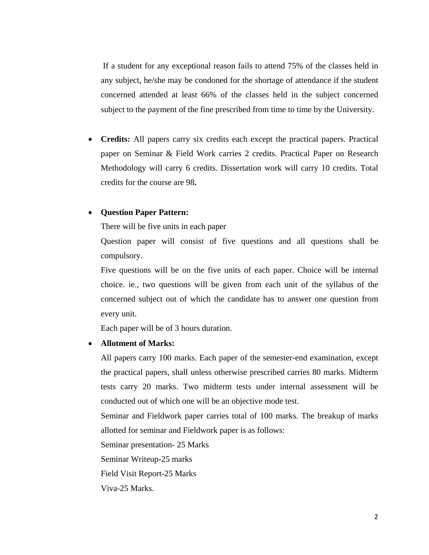If a student for any exceptional reason fails to attend 75% of the classes held in any subject, he/she may be condoned for the shortage of attendance if the student concerned attended at least 66% of the classes held in the subject concerned subject to the payment of the fine prescribed from time to time by the University.

• **Credits:** All papers carry six credits each except the practical papers. Practical paper on Seminar & Field Work carries 2 credits. Practical Paper on Research Methodology will carry 6 credits. Dissertation work will carry 10 credits. Total credits for the course are 98**.**

#### • **Question Paper Pattern:**

There will be five units in each paper

Question paper will consist of five questions and all questions shall be compulsory.

Five questions will be on the five units of each paper. Choice will be internal choice. ie., two questions will be given from each unit of the syllabus of the concerned subject out of which the candidate has to answer one question from every unit.

Each paper will be of 3 hours duration.

#### • **Allotment of Marks:**

All papers carry 100 marks. Each paper of the semester-end examination, except the practical papers, shall unless otherwise prescribed carries 80 marks. Midterm tests carry 20 marks. Two midterm tests under internal assessment will be conducted out of which one will be an objective mode test.

Seminar and Fieldwork paper carries total of 100 marks. The breakup of marks allotted for seminar and Fieldwork paper is as follows:

Seminar presentation- 25 Marks

Seminar Writeup-25 marks

Field Visit Report-25 Marks

Viva-25 Marks.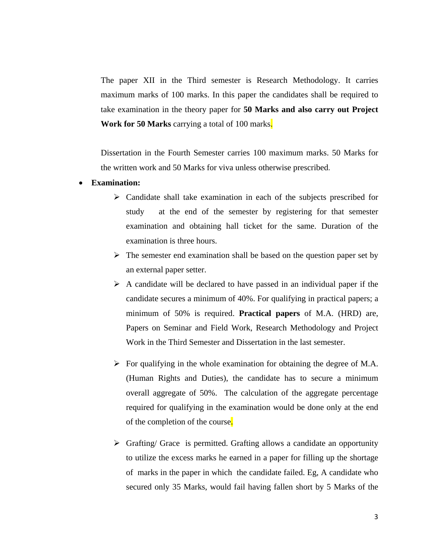The paper XII in the Third semester is Research Methodology. It carries maximum marks of 100 marks. In this paper the candidates shall be required to take examination in the theory paper for **50 Marks and also carry out Project Work for 50 Marks** carrying a total of 100 marks.

Dissertation in the Fourth Semester carries 100 maximum marks. 50 Marks for the written work and 50 Marks for viva unless otherwise prescribed.

#### • **Examination:**

- $\triangleright$  Candidate shall take examination in each of the subjects prescribed for study at the end of the semester by registering for that semester examination and obtaining hall ticket for the same. Duration of the examination is three hours.
- $\triangleright$  The semester end examination shall be based on the question paper set by an external paper setter.
- $\triangleright$  A candidate will be declared to have passed in an individual paper if the candidate secures a minimum of 40%. For qualifying in practical papers; a minimum of 50% is required. **Practical papers** of M.A. (HRD) are, Papers on Seminar and Field Work, Research Methodology and Project Work in the Third Semester and Dissertation in the last semester.
- $\triangleright$  For qualifying in the whole examination for obtaining the degree of M.A. (Human Rights and Duties), the candidate has to secure a minimum overall aggregate of 50%. The calculation of the aggregate percentage required for qualifying in the examination would be done only at the end of the completion of the course.
- $\triangleright$  Grafting/Grace is permitted. Grafting allows a candidate an opportunity to utilize the excess marks he earned in a paper for filling up the shortage of marks in the paper in which the candidate failed. Eg, A candidate who secured only 35 Marks, would fail having fallen short by 5 Marks of the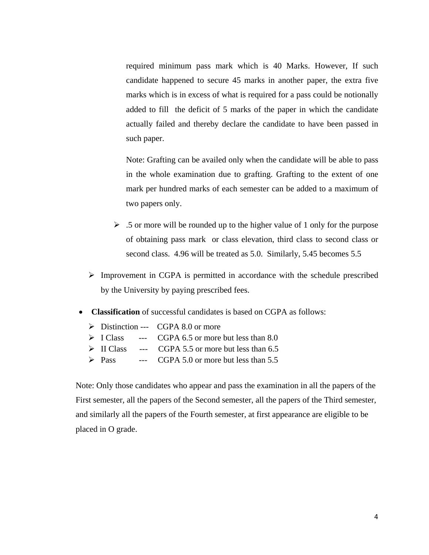required minimum pass mark which is 40 Marks. However, If such candidate happened to secure 45 marks in another paper, the extra five marks which is in excess of what is required for a pass could be notionally added to fill the deficit of 5 marks of the paper in which the candidate actually failed and thereby declare the candidate to have been passed in such paper.

Note: Grafting can be availed only when the candidate will be able to pass in the whole examination due to grafting. Grafting to the extent of one mark per hundred marks of each semester can be added to a maximum of two papers only.

- $\geq$  .5 or more will be rounded up to the higher value of 1 only for the purpose of obtaining pass mark or class elevation, third class to second class or second class. 4.96 will be treated as 5.0. Similarly, 5.45 becomes 5.5
- $\triangleright$  Improvement in CGPA is permitted in accordance with the schedule prescribed by the University by paying prescribed fees.
- **Classification** of successful candidates is based on CGPA as follows:

|                           | $\triangleright$ Distinction --- CGPA 8.0 or more               |
|---------------------------|-----------------------------------------------------------------|
|                           | $\triangleright$ I Class --- CGPA 6.5 or more but less than 8.0 |
| $\triangleright$ II Class | --- CGPA 5.5 or more but less than 6.5                          |
| $\triangleright$ Pass     | $-CGPA 5.0$ or more but less than $5.5$                         |

Note: Only those candidates who appear and pass the examination in all the papers of the First semester, all the papers of the Second semester, all the papers of the Third semester, and similarly all the papers of the Fourth semester, at first appearance are eligible to be placed in O grade.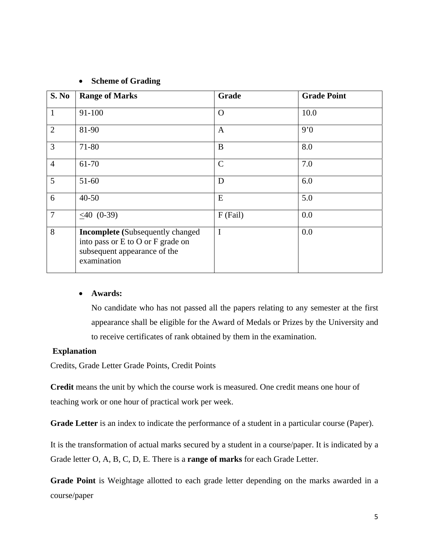|  |  | <b>Scheme of Grading</b> |
|--|--|--------------------------|
|--|--|--------------------------|

| S. No          | <b>Range of Marks</b>                                                                                                       | Grade        | <b>Grade Point</b> |
|----------------|-----------------------------------------------------------------------------------------------------------------------------|--------------|--------------------|
| $\mathbf{1}$   | 91-100                                                                                                                      | $\Omega$     | 10.0               |
| $\overline{2}$ | 81-90                                                                                                                       | $\mathbf{A}$ | 9'0                |
| 3              | 71-80                                                                                                                       | B            | 8.0                |
| $\overline{4}$ | 61-70                                                                                                                       | $\mathsf{C}$ | 7.0                |
| 5              | $51-60$                                                                                                                     | D            | 6.0                |
| 6              | $40 - 50$                                                                                                                   | E            | 5.0                |
| $\overline{7}$ | $< 40$ (0-39)                                                                                                               | $F$ (Fail)   | 0.0                |
| 8              | <b>Incomplete</b> (Subsequently changed<br>into pass or E to O or F grade on<br>subsequent appearance of the<br>examination | $\mathbf I$  | 0.0                |

#### • **Awards:**

No candidate who has not passed all the papers relating to any semester at the first appearance shall be eligible for the Award of Medals or Prizes by the University and to receive certificates of rank obtained by them in the examination.

## **Explanation**

Credits, Grade Letter Grade Points, Credit Points

**Credit** means the unit by which the course work is measured. One credit means one hour of teaching work or one hour of practical work per week.

**Grade Letter** is an index to indicate the performance of a student in a particular course (Paper).

It is the transformation of actual marks secured by a student in a course/paper. It is indicated by a Grade letter O, A, B, C, D, E. There is a **range of marks** for each Grade Letter.

**Grade Point** is Weightage allotted to each grade letter depending on the marks awarded in a course/paper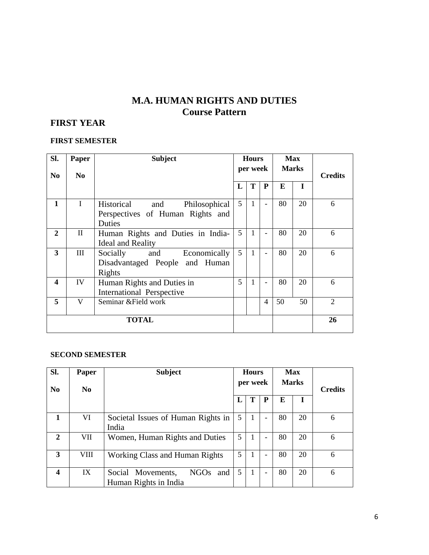# **M.A. HUMAN RIGHTS AND DUTIES Course Pattern**

# **FIRST YEAR**

#### **FIRST SEMESTER**

| SI.<br>N <sub>0</sub> | Paper<br>N <sub>0</sub> | <b>Subject</b>                                                                   |   | <b>Hours</b><br>per week |                | <b>Max</b><br><b>Marks</b> |    | <b>Credits</b> |
|-----------------------|-------------------------|----------------------------------------------------------------------------------|---|--------------------------|----------------|----------------------------|----|----------------|
|                       |                         |                                                                                  | L | T                        | $\mathbf{P}$   | E                          | I  |                |
| $\mathbf{1}$          | T                       | Historical<br>Philosophical<br>and<br>Perspectives of Human Rights and<br>Duties | 5 | $\mathbf{1}$             |                | 80                         | 20 | 6              |
| $\overline{2}$        | $\mathbf{I}$            | Human Rights and Duties in India-<br><b>Ideal and Reality</b>                    | 5 | 1                        |                | 80                         | 20 | 6              |
| 3                     | Ш                       | Economically<br>Socially<br>and<br>Disadvantaged People and Human<br>Rights      | 5 | $\mathbf{1}$             |                | 80                         | 20 | 6              |
| 4                     | IV                      | Human Rights and Duties in<br>International Perspective                          | 5 | 1                        |                | 80                         | 20 | 6              |
| 5                     | V                       | Seminar & Field work                                                             |   |                          | $\overline{4}$ | 50                         | 50 | $\overline{2}$ |
| <b>TOTAL</b>          |                         |                                                                                  |   |                          |                |                            |    | 26             |

#### **SECOND SEMESTER**

| Sl.<br>N <sub>0</sub>   | Paper<br>N <sub>0</sub> | <b>Subject</b>                                                   | <b>Hours</b><br>per week |              |   |    | <b>Max</b><br><b>Marks</b> | <b>Credits</b> |
|-------------------------|-------------------------|------------------------------------------------------------------|--------------------------|--------------|---|----|----------------------------|----------------|
|                         |                         |                                                                  |                          | T            | P | E  |                            |                |
| $\mathbf{1}$            | VI                      | Societal Issues of Human Rights in<br>India                      | 5                        | $\mathbf{I}$ | - | 80 | 20                         | 6              |
| $\mathbf{2}$            | VII                     | Women, Human Rights and Duties                                   | 5                        | $\mathbf{I}$ | - | 80 | 20                         | 6              |
| 3                       | VIII                    | Working Class and Human Rights                                   | 5                        | 1            | ۰ | 80 | 20                         | 6              |
| $\overline{\mathbf{4}}$ | IX                      | <b>NGOs</b><br>Social Movements,<br>and<br>Human Rights in India | 5                        | 1            | - | 80 | 20                         | 6              |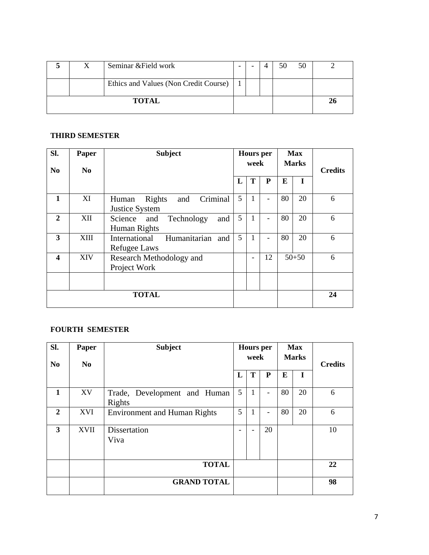|              |  | Seminar & Field work                      | - |  | 50 | 50 |  |
|--------------|--|-------------------------------------------|---|--|----|----|--|
|              |  | Ethics and Values (Non Credit Course)   1 |   |  |    |    |  |
| <b>TOTAL</b> |  |                                           |   |  |    |    |  |

### **THIRD SEMESTER**

| Sl.<br>N <sub>0</sub>   | Paper<br>N <sub>0</sub> | <b>Subject</b>                                       | <b>Hours</b> per<br>week |                          |                          | <b>Max</b><br><b>Marks</b> |           | <b>Credits</b> |
|-------------------------|-------------------------|------------------------------------------------------|--------------------------|--------------------------|--------------------------|----------------------------|-----------|----------------|
|                         |                         |                                                      | L                        | T                        | ${\bf P}$                | E                          | I         |                |
| 1                       | XI                      | Criminal<br>and<br>Rights<br>Human<br>Justice System | 5                        | 1                        | $\overline{\phantom{a}}$ | 80                         | 20        | 6              |
| $\mathbf{2}$            | XII                     | and<br>Science and<br>Technology<br>Human Rights     | 5                        | $\mathbf{1}$             | $\overline{\phantom{a}}$ | 80                         | 20        | 6              |
| 3                       | XIII                    | Humanitarian<br>International<br>and<br>Refugee Laws | 5                        | 1                        | $\overline{\phantom{0}}$ | 80                         | 20        | 6              |
| $\overline{\mathbf{4}}$ | <b>XIV</b>              | Research Methodology and<br>Project Work             |                          | $\overline{\phantom{a}}$ | 12                       |                            | $50 + 50$ | 6              |
|                         |                         |                                                      |                          |                          |                          |                            |           |                |
|                         |                         | <b>TOTAL</b>                                         |                          |                          |                          |                            |           | 24             |

## **FOURTH SEMESTER**

| SI.<br><b>No</b> | Paper<br>N <sub>0</sub> | <b>Subject</b>                         |                 | <b>Hours</b> per<br>week |                          |    | <b>Max</b><br><b>Marks</b> | <b>Credits</b> |
|------------------|-------------------------|----------------------------------------|-----------------|--------------------------|--------------------------|----|----------------------------|----------------|
|                  |                         |                                        | L               | T                        | ${\bf P}$                | E  | $\bf{I}$                   |                |
| $\mathbf{1}$     | XV                      | Trade, Development and Human<br>Rights | $5\overline{)}$ | 1                        | $\overline{\phantom{0}}$ | 80 | 20                         | 6              |
| $\mathbf{2}$     | <b>XVI</b>              | <b>Environment and Human Rights</b>    | 5               | 1                        | $\overline{\phantom{0}}$ | 80 | 20                         | 6              |
| 3                | <b>XVII</b>             | Dissertation<br>Viva                   |                 | -                        | 20                       |    |                            | 10             |
|                  |                         | <b>TOTAL</b>                           |                 |                          |                          |    |                            | 22             |
|                  |                         | <b>GRAND TOTAL</b>                     |                 |                          |                          |    |                            | 98             |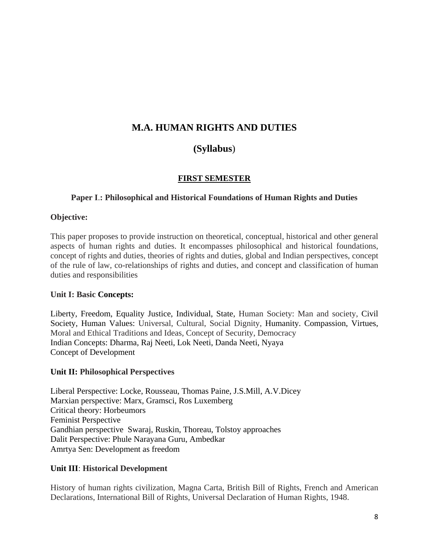# **M.A. HUMAN RIGHTS AND DUTIES**

# **(Syllabus**)

## **FIRST SEMESTER**

## **Paper I**.**: Philosophical and Historical Foundations of Human Rights and Duties**

## **Objective:**

This paper proposes to provide instruction on theoretical, conceptual, historical and other general aspects of human rights and duties. It encompasses philosophical and historical foundations, concept of rights and duties, theories of rights and duties, global and Indian perspectives, concept of the rule of law, co-relationships of rights and duties, and concept and classification of human duties and responsibilities

## **Unit I: Basic Concepts:**

Liberty, Freedom, Equality Justice, Individual, State, Human Society: Man and society, Civil Society, Human Values: Universal, Cultural, Social Dignity, Humanity. Compassion, Virtues, Moral and Ethical Traditions and Ideas, Concept of Security, Democracy Indian Concepts: Dharma, Raj Neeti, Lok Neeti, Danda Neeti, Nyaya Concept of Development

## **Unit II: Philosophical Perspectives**

Liberal Perspective: Locke, Rousseau, Thomas Paine, J.S.Mill, A.V.Dicey Marxian perspective: Marx, Gramsci, Ros Luxemberg Critical theory: Horbeumors Feminist Perspective Gandhian perspective Swaraj, Ruskin, Thoreau, Tolstoy approaches Dalit Perspective: Phule Narayana Guru, Ambedkar Amrtya Sen: Development as freedom

## **Unit III**: **Historical Development**

History of human rights civilization, Magna Carta, British Bill of Rights, French and American Declarations, International Bill of Rights, Universal Declaration of Human Rights, 1948.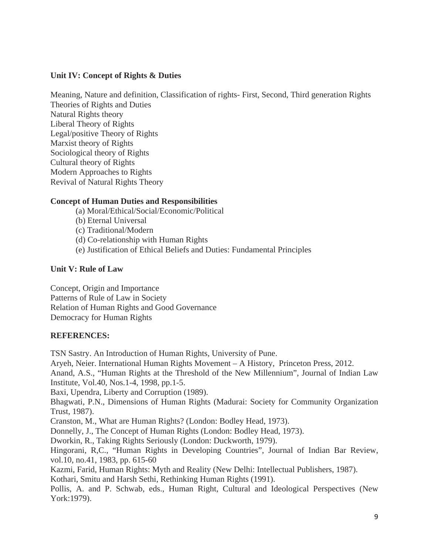### **Unit IV: Concept of Rights & Duties**

Meaning, Nature and definition, Classification of rights- First, Second, Third generation Rights Theories of Rights and Duties Natural Rights theory Liberal Theory of Rights Legal/positive Theory of Rights Marxist theory of Rights Sociological theory of Rights Cultural theory of Rights Modern Approaches to Rights Revival of Natural Rights Theory

### **Concept of Human Duties and Responsibilities**

- (a) Moral/Ethical/Social/Economic/Political
- (b) Eternal Universal
- (c) Traditional/Modern
- (d) Co-relationship with Human Rights
- (e) Justification of Ethical Beliefs and Duties: Fundamental Principles

### **Unit V: Rule of Law**

Concept, Origin and Importance Patterns of Rule of Law in Society Relation of Human Rights and Good Governance Democracy for Human Rights

## **REFERENCES:**

TSN Sastry. An Introduction of Human Rights, University of Pune.

Aryeh, Neier. International Human Rights Movement – A History, Princeton Press, 2012.

Anand, A.S., "Human Rights at the Threshold of the New Millennium", Journal of Indian Law Institute, Vol.40, Nos.1-4, 1998, pp.1-5.

Baxi, Upendra, Liberty and Corruption (1989).

Bhagwati, P.N., Dimensions of Human Rights (Madurai: Society for Community Organization Trust, 1987).

Cranston, M., What are Human Rights? (London: Bodley Head, 1973).

Donnelly, J., The Concept of Human Rights (London: Bodley Head, 1973).

Dworkin, R., Taking Rights Seriously (London: Duckworth, 1979).

Hingorani, R,C., "Human Rights in Developing Countries", Journal of Indian Bar Review, vol.10, no.41, 1983, pp. 615-60

Kazmi, Farid, Human Rights: Myth and Reality (New Delhi: Intellectual Publishers, 1987). Kothari, Smitu and Harsh Sethi, Rethinking Human Rights (1991).

Pollis, A. and P. Schwab, eds., Human Right, Cultural and Ideological Perspectives (New York:1979).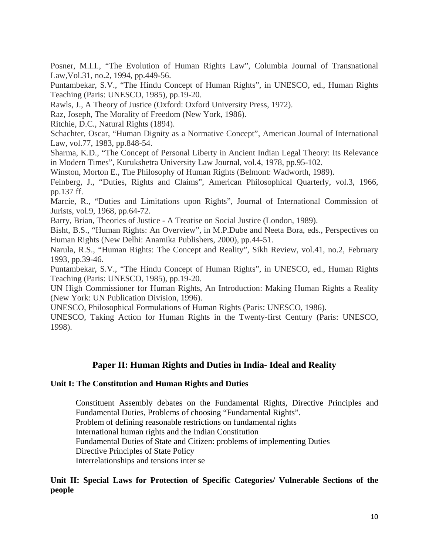Posner, M.I.I., "The Evolution of Human Rights Law", Columbia Journal of Transnational Law,Vol.31, no.2, 1994, pp.449-56.

Puntambekar, S.V., "The Hindu Concept of Human Rights", in UNESCO, ed., Human Rights Teaching (Paris: UNESCO, 1985), pp.19-20.

Rawls, J., A Theory of Justice (Oxford: Oxford University Press, 1972).

Raz, Joseph, The Morality of Freedom (New York, 1986).

Ritchie, D.C., Natural Rights (1894).

Schachter, Oscar, "Human Dignity as a Normative Concept", American Journal of International Law, vol.77, 1983, pp.848-54.

Sharma, K.D., "The Concept of Personal Liberty in Ancient Indian Legal Theory: Its Relevance in Modern Times", Kurukshetra University Law Journal, vol.4, 1978, pp.95-102.

Winston, Morton E., The Philosophy of Human Rights (Belmont: Wadworth, 1989).

Feinberg, J., "Duties, Rights and Claims", American Philosophical Quarterly, vol.3, 1966, pp.137 ff.

Marcie, R., "Duties and Limitations upon Rights", Journal of International Commission of Jurists, vol.9, 1968, pp.64-72.

Barry, Brian, Theories of Justice - A Treatise on Social Justice (London, 1989).

Bisht, B.S., "Human Rights: An Overview", in M.P.Dube and Neeta Bora, eds., Perspectives on Human Rights (New Delhi: Anamika Publishers, 2000), pp.44-51.

Narula, R.S., "Human Rights: The Concept and Reality", Sikh Review, vol.41, no.2, February 1993, pp.39-46.

Puntambekar, S.V., "The Hindu Concept of Human Rights", in UNESCO, ed., Human Rights Teaching (Paris: UNESCO, 1985), pp.19-20.

UN High Commissioner for Human Rights, An Introduction: Making Human Rights a Reality (New York: UN Publication Division, 1996).

UNESCO, Philosophical Formulations of Human Rights (Paris: UNESCO, 1986).

UNESCO, Taking Action for Human Rights in the Twenty-first Century (Paris: UNESCO, 1998).

## **Paper II: Human Rights and Duties in India- Ideal and Reality**

#### **Unit I: The Constitution and Human Rights and Duties**

Constituent Assembly debates on the Fundamental Rights, Directive Principles and Fundamental Duties, Problems of choosing "Fundamental Rights". Problem of defining reasonable restrictions on fundamental rights International human rights and the Indian Constitution Fundamental Duties of State and Citizen: problems of implementing Duties Directive Principles of State Policy Interrelationships and tensions inter se

#### **Unit II: Special Laws for Protection of Specific Categories/ Vulnerable Sections of the people**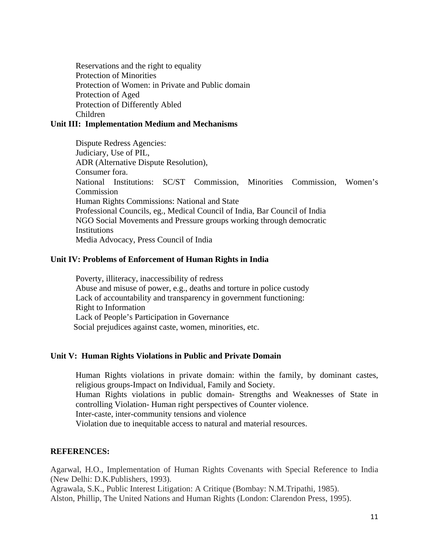Reservations and the right to equality Protection of Minorities Protection of Women: in Private and Public domain Protection of Aged Protection of Differently Abled Children

#### **Unit III: Implementation Medium and Mechanisms**

Dispute Redress Agencies: Judiciary, Use of PIL, ADR (Alternative Dispute Resolution), Consumer fora. National Institutions: SC/ST Commission, Minorities Commission, Women's Commission Human Rights Commissions: National and State Professional Councils, eg., Medical Council of India, Bar Council of India NGO Social Movements and Pressure groups working through democratic **Institutions** Media Advocacy, Press Council of India

#### **Unit IV: Problems of Enforcement of Human Rights in India**

Poverty, illiteracy, inaccessibility of redress Abuse and misuse of power, e.g., deaths and torture in police custody Lack of accountability and transparency in government functioning: Right to Information Lack of People's Participation in Governance Social prejudices against caste, women, minorities, etc.

#### **Unit V: Human Rights Violations in Public and Private Domain**

Human Rights violations in private domain: within the family, by dominant castes, religious groups-Impact on Individual, Family and Society. Human Rights violations in public domain- Strengths and Weaknesses of State in controlling Violation- Human right perspectives of Counter violence. Inter-caste, inter-community tensions and violence Violation due to inequitable access to natural and material resources.

#### **REFERENCES:**

Agarwal, H.O., Implementation of Human Rights Covenants with Special Reference to India (New Delhi: D.K.Publishers, 1993).

Agrawala, S.K., Public Interest Litigation: A Critique (Bombay: N.M.Tripathi, 1985). Alston, Phillip, The United Nations and Human Rights (London: Clarendon Press, 1995).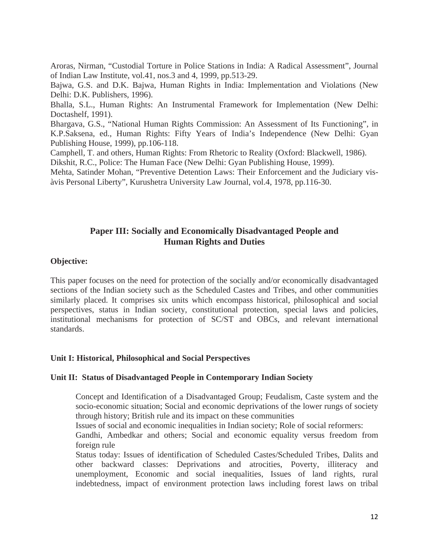Aroras, Nirman, "Custodial Torture in Police Stations in India: A Radical Assessment", Journal of Indian Law Institute, vol.41, nos.3 and 4, 1999, pp.513-29.

Bajwa, G.S. and D.K. Bajwa, Human Rights in India: Implementation and Violations (New Delhi: D.K. Publishers, 1996).

Bhalla, S.L., Human Rights: An Instrumental Framework for Implementation (New Delhi: Doctashelf, 1991).

Bhargava, G.S., "National Human Rights Commission: An Assessment of Its Functioning", in K.P.Saksena, ed., Human Rights: Fifty Years of India's Independence (New Delhi: Gyan Publishing House, 1999), pp.106-118.

Camphell, T. and others, Human Rights: From Rhetoric to Reality (Oxford: Blackwell, 1986).

Dikshit, R.C., Police: The Human Face (New Delhi: Gyan Publishing House, 1999).

Mehta, Satinder Mohan, "Preventive Detention Laws: Their Enforcement and the Judiciary visàvis Personal Liberty", Kurushetra University Law Journal, vol.4, 1978, pp.116-30.

## **Paper III: Socially and Economically Disadvantaged People and Human Rights and Duties**

### **Objective:**

This paper focuses on the need for protection of the socially and/or economically disadvantaged sections of the Indian society such as the Scheduled Castes and Tribes, and other communities similarly placed. It comprises six units which encompass historical, philosophical and social perspectives, status in Indian society, constitutional protection, special laws and policies, institutional mechanisms for protection of SC/ST and OBCs, and relevant international standards.

#### **Unit I: Historical, Philosophical and Social Perspectives**

#### **Unit II: Status of Disadvantaged People in Contemporary Indian Society**

Concept and Identification of a Disadvantaged Group; Feudalism, Caste system and the socio-economic situation; Social and economic deprivations of the lower rungs of society through history; British rule and its impact on these communities

Issues of social and economic inequalities in Indian society; Role of social reformers:

Gandhi, Ambedkar and others; Social and economic equality versus freedom from foreign rule

Status today: Issues of identification of Scheduled Castes/Scheduled Tribes, Dalits and other backward classes: Deprivations and atrocities, Poverty, illiteracy and unemployment, Economic and social inequalities, Issues of land rights, rural indebtedness, impact of environment protection laws including forest laws on tribal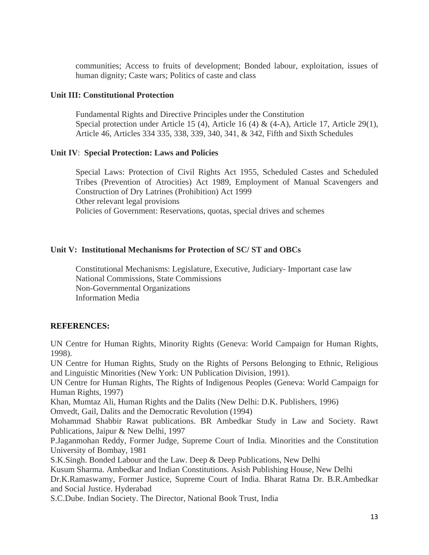communities; Access to fruits of development; Bonded labour, exploitation, issues of human dignity; Caste wars; Politics of caste and class

#### **Unit III: Constitutional Protection**

Fundamental Rights and Directive Principles under the Constitution Special protection under Article 15 (4), Article 16 (4) & (4-A), Article 17, Article 29(1), Article 46, Articles 334 335, 338, 339, 340, 341, & 342, Fifth and Sixth Schedules

### **Unit IV**: **Special Protection: Laws and Policies**

Special Laws: Protection of Civil Rights Act 1955, Scheduled Castes and Scheduled Tribes (Prevention of Atrocities) Act 1989, Employment of Manual Scavengers and Construction of Dry Latrines (Prohibition) Act 1999 Other relevant legal provisions Policies of Government: Reservations, quotas, special drives and schemes

## **Unit V: Institutional Mechanisms for Protection of SC/ ST and OBCs**

Constitutional Mechanisms: Legislature, Executive, Judiciary- Important case law National Commissions, State Commissions Non-Governmental Organizations Information Media

## **REFERENCES:**

UN Centre for Human Rights, Minority Rights (Geneva: World Campaign for Human Rights, 1998).

UN Centre for Human Rights, Study on the Rights of Persons Belonging to Ethnic, Religious and Linguistic Minorities (New York: UN Publication Division, 1991).

UN Centre for Human Rights, The Rights of Indigenous Peoples (Geneva: World Campaign for Human Rights, 1997)

Khan, Mumtaz Ali, Human Rights and the Dalits (New Delhi: D.K. Publishers, 1996)

Omvedt, Gail, Dalits and the Democratic Revolution (1994)

Mohammad Shabbir Rawat publications. BR Ambedkar Study in Law and Society. Rawt Publications, Jaipur & New Delhi, 1997

P.Jaganmohan Reddy, Former Judge, Supreme Court of India. Minorities and the Constitution University of Bombay, 1981

S.K.Singh. Bonded Labour and the Law. Deep & Deep Publications, New Delhi

Kusum Sharma. Ambedkar and Indian Constitutions. Asish Publishing House, New Delhi

Dr.K.Ramaswamy, Former Justice, Supreme Court of India. Bharat Ratna Dr. B.R.Ambedkar and Social Justice. Hyderabad

S.C.Dube. Indian Society. The Director, National Book Trust, India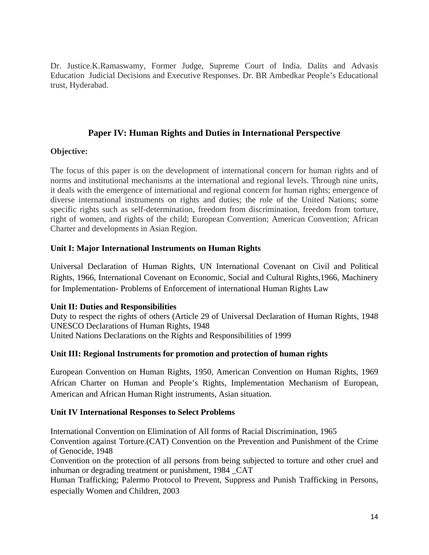Dr. Justice.K.Ramaswamy, Former Judge, Supreme Court of India. Dalits and Advasis Education Judicial Decisions and Executive Responses. Dr. BR Ambedkar People's Educational trust, Hyderabad.

## **Paper IV: Human Rights and Duties in International Perspective**

### **Objective:**

The focus of this paper is on the development of international concern for human rights and of norms and institutional mechanisms at the international and regional levels. Through nine units, it deals with the emergence of international and regional concern for human rights; emergence of diverse international instruments on rights and duties; the role of the United Nations; some specific rights such as self-determination, freedom from discrimination, freedom from torture, right of women, and rights of the child; European Convention; American Convention; African Charter and developments in Asian Region.

## **Unit I: Major International Instruments on Human Rights**

Universal Declaration of Human Rights, UN International Covenant on Civil and Political Rights, 1966, International Covenant on Economic, Social and Cultural Rights,1966, Machinery for Implementation- Problems of Enforcement of international Human Rights Law

#### **Unit II: Duties and Responsibilities**

Duty to respect the rights of others (Article 29 of Universal Declaration of Human Rights, 1948 UNESCO Declarations of Human Rights, 1948 United Nations Declarations on the Rights and Responsibilities of 1999

## **Unit III: Regional Instruments for promotion and protection of human rights**

European Convention on Human Rights, 1950, American Convention on Human Rights, 1969 African Charter on Human and People's Rights, Implementation Mechanism of European, American and African Human Right instruments, Asian situation.

## **Unit IV International Responses to Select Problems**

International Convention on Elimination of All forms of Racial Discrimination, 1965 Convention against Torture.(CAT) Convention on the Prevention and Punishment of the Crime of Genocide, 1948

Convention on the protection of all persons from being subjected to torture and other cruel and inhuman or degrading treatment or punishment, 1984 \_CAT

Human Trafficking; Palermo Protocol to Prevent, Suppress and Punish Trafficking in Persons, especially Women and Children, 2003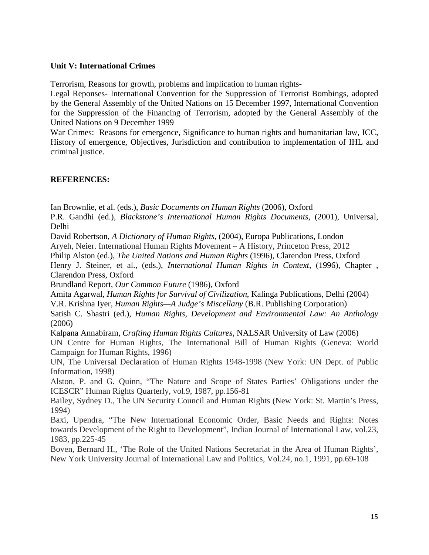#### **Unit V: International Crimes**

Terrorism, Reasons for growth, problems and implication to human rights-

Legal Reponses- International Convention for the Suppression of Terrorist Bombings, adopted by the General Assembly of the United Nations on 15 December 1997, International Convention for the Suppression of the Financing of Terrorism, adopted by the General Assembly of the United Nations on 9 December 1999

War Crimes: Reasons for emergence, Significance to human rights and humanitarian law, ICC, History of emergence, Objectives, Jurisdiction and contribution to implementation of IHL and criminal justice.

## **REFERENCES:**

Ian Brownlie, et al. (eds.), *Basic Documents on Human Rights* (2006), Oxford

P.R. Gandhi (ed.), *Blackstone's International Human Rights Documents,* (2001), Universal, Delhi

David Robertson, *A Dictionary of Human Rights*, (2004), Europa Publications, London Aryeh, Neier. International Human Rights Movement – A History, Princeton Press, 2012

Philip Alston (ed.), *The United Nations and Human Rights* (1996), Clarendon Press, Oxford

Henry J. Steiner, et al., (eds.), *International Human Rights in Context,* (1996), Chapter , Clarendon Press, Oxford

Brundland Report, *Our Common Future* (1986), Oxford

Amita Agarwal, *Human Rights for Survival of Civilization*, Kalinga Publications, Delhi (2004) V.R. Krishna Iyer, *Human Rights—A Judge's Miscellany* (B.R. Publishing Corporation) Satish C. Shastri (ed.), *Human Rights, Development and Environmental Law: An Anthology* 

(2006)

Kalpana Annabiram, *Crafting Human Rights Cultures*, NALSAR University of Law (2006) UN Centre for Human Rights, The International Bill of Human Rights (Geneva: World Campaign for Human Rights, 1996)

UN, The Universal Declaration of Human Rights 1948-1998 (New York: UN Dept. of Public Information, 1998)

Alston, P. and G. Quinn, "The Nature and Scope of States Parties' Obligations under the ICESCR" Human Rights Quarterly, vol.9, 1987, pp.156-81

Bailey, Sydney D., The UN Security Council and Human Rights (New York: St. Martin's Press, 1994)

Baxi, Upendra, "The New International Economic Order, Basic Needs and Rights: Notes towards Development of the Right to Development", Indian Journal of International Law, vol.23, 1983, pp.225-45

Boven, Bernard H., 'The Role of the United Nations Secretariat in the Area of Human Rights', New York University Journal of International Law and Politics, Vol.24, no.1, 1991, pp.69-108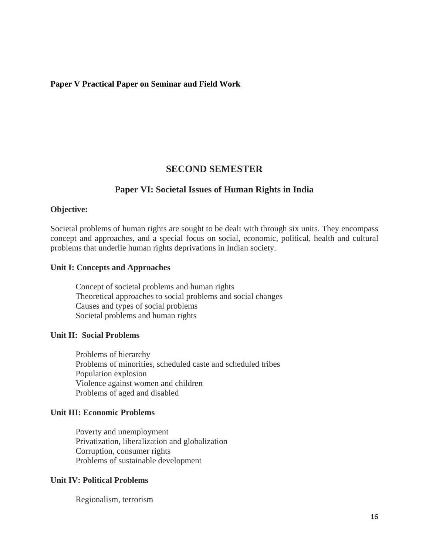#### **Paper V Practical Paper on Seminar and Field Work**

## **SECOND SEMESTER**

## **Paper VI: Societal Issues of Human Rights in India**

#### **Objective:**

Societal problems of human rights are sought to be dealt with through six units. They encompass concept and approaches, and a special focus on social, economic, political, health and cultural problems that underlie human rights deprivations in Indian society.

#### **Unit I: Concepts and Approaches**

Concept of societal problems and human rights Theoretical approaches to social problems and social changes Causes and types of social problems Societal problems and human rights

#### **Unit II: Social Problems**

Problems of hierarchy Problems of minorities, scheduled caste and scheduled tribes Population explosion Violence against women and children Problems of aged and disabled

#### **Unit III: Economic Problems**

Poverty and unemployment Privatization, liberalization and globalization Corruption, consumer rights Problems of sustainable development

## **Unit IV: Political Problems**

Regionalism, terrorism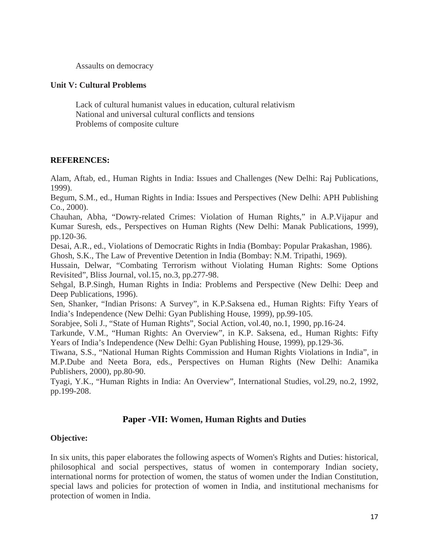Assaults on democracy

#### **Unit V: Cultural Problems**

Lack of cultural humanist values in education, cultural relativism National and universal cultural conflicts and tensions Problems of composite culture

### **REFERENCES:**

Alam, Aftab, ed., Human Rights in India: Issues and Challenges (New Delhi: Raj Publications, 1999).

Begum, S.M., ed., Human Rights in India: Issues and Perspectives (New Delhi: APH Publishing Co., 2000).

Chauhan, Abha, "Dowry-related Crimes: Violation of Human Rights," in A.P.Vijapur and Kumar Suresh, eds., Perspectives on Human Rights (New Delhi: Manak Publications, 1999), pp.120-36.

Desai, A.R., ed., Violations of Democratic Rights in India (Bombay: Popular Prakashan, 1986).

Ghosh, S.K., The Law of Preventive Detention in India (Bombay: N.M. Tripathi, 1969).

Hussain, Delwar, "Combating Terrorism without Violating Human Rights: Some Options Revisited", Bliss Journal, vol.15, no.3, pp.277-98.

Sehgal, B.P.Singh, Human Rights in India: Problems and Perspective (New Delhi: Deep and Deep Publications, 1996).

Sen, Shanker, "Indian Prisons: A Survey", in K.P.Saksena ed., Human Rights: Fifty Years of India's Independence (New Delhi: Gyan Publishing House, 1999), pp.99-105.

Sorabjee, Soli J., "State of Human Rights", Social Action, vol.40, no.1, 1990, pp.16-24.

Tarkunde, V.M., "Human Rights: An Overview", in K.P. Saksena, ed., Human Rights: Fifty Years of India's Independence (New Delhi: Gyan Publishing House, 1999), pp.129-36.

Tiwana, S.S., "National Human Rights Commission and Human Rights Violations in India", in M.P.Dube and Neeta Bora, eds., Perspectives on Human Rights (New Delhi: Anamika Publishers, 2000), pp.80-90.

Tyagi, Y.K., "Human Rights in India: An Overview", International Studies, vol.29, no.2, 1992, pp.199-208.

## **Paper -VII: Women, Human Rights and Duties**

## **Objective:**

In six units, this paper elaborates the following aspects of Women's Rights and Duties: historical, philosophical and social perspectives, status of women in contemporary Indian society, international norms for protection of women, the status of women under the Indian Constitution, special laws and policies for protection of women in India, and institutional mechanisms for protection of women in India.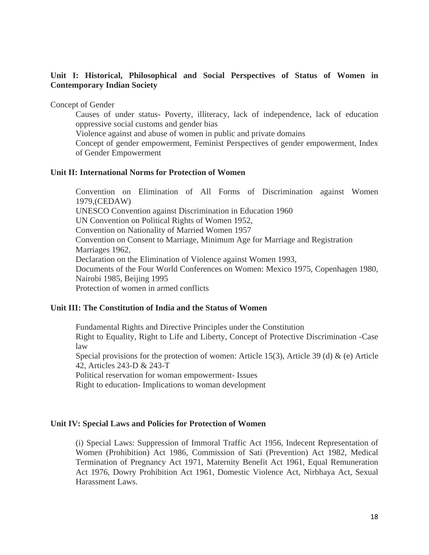### **Unit I: Historical, Philosophical and Social Perspectives of Status of Women in Contemporary Indian Society**

Concept of Gender

Causes of under status- Poverty, illiteracy, lack of independence, lack of education oppressive social customs and gender bias

Violence against and abuse of women in public and private domains

Concept of gender empowerment, Feminist Perspectives of gender empowerment, Index of Gender Empowerment

#### **Unit II: International Norms for Protection of Women**

Convention on Elimination of All Forms of Discrimination against Women 1979,(CEDAW) UNESCO Convention against Discrimination in Education 1960 UN Convention on Political Rights of Women 1952, Convention on Nationality of Married Women 1957 Convention on Consent to Marriage, Minimum Age for Marriage and Registration Marriages 1962, Declaration on the Elimination of Violence against Women 1993, Documents of the Four World Conferences on Women: Mexico 1975, Copenhagen 1980, Nairobi 1985, Beijing 1995 Protection of women in armed conflicts

#### **Unit III: The Constitution of India and the Status of Women**

Fundamental Rights and Directive Principles under the Constitution Right to Equality, Right to Life and Liberty, Concept of Protective Discrimination -Case law Special provisions for the protection of women: Article 15(3), Article 39 (d)  $\&$  (e) Article 42, Articles 243-D & 243-T Political reservation for woman empowerment- Issues

Right to education- Implications to woman development

#### **Unit IV: Special Laws and Policies for Protection of Women**

(i) Special Laws: Suppression of Immoral Traffic Act 1956, Indecent Representation of Women (Prohibition) Act 1986, Commission of Sati (Prevention) Act 1982, Medical Termination of Pregnancy Act 1971, Maternity Benefit Act 1961, Equal Remuneration Act 1976, Dowry Prohibition Act 1961, Domestic Violence Act, Nirbhaya Act, Sexual Harassment Laws.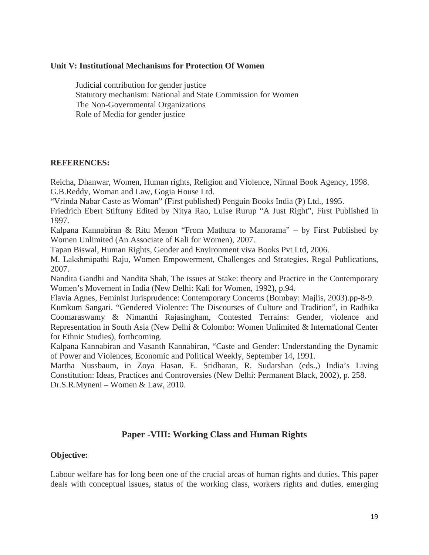#### **Unit V: Institutional Mechanisms for Protection Of Women**

 Judicial contribution for gender justice Statutory mechanism: National and State Commission for Women The Non-Governmental Organizations Role of Media for gender justice

#### **REFERENCES:**

Reicha, Dhanwar, Women, Human rights, Religion and Violence, Nirmal Book Agency, 1998. G.B.Reddy, Woman and Law, Gogia House Ltd.

"Vrinda Nabar Caste as Woman" (First published) Penguin Books India (P) Ltd., 1995.

Friedrich Ebert Stiftuny Edited by Nitya Rao, Luise Rurup "A Just Right", First Published in 1997.

Kalpana Kannabiran & Ritu Menon "From Mathura to Manorama" – by First Published by Women Unlimited (An Associate of Kali for Women), 2007.

Tapan Biswal, Human Rights, Gender and Environment viva Books Pvt Ltd, 2006.

M. Lakshmipathi Raju, Women Empowerment, Challenges and Strategies. Regal Publications, 2007.

Nandita Gandhi and Nandita Shah, The issues at Stake: theory and Practice in the Contemporary Women's Movement in India (New Delhi: Kali for Women, 1992), p.94.

Flavia Agnes, Feminist Jurisprudence: Contemporary Concerns (Bombay: Majlis, 2003).pp-8-9.

Kumkum Sangari. "Gendered Violence: The Discourses of Culture and Tradition", in Radhika Coomaraswamy & Nimanthi Rajasingham, Contested Terrains: Gender, violence and Representation in South Asia (New Delhi & Colombo: Women Unlimited & International Center for Ethnic Studies), forthcoming.

Kalpana Kannabiran and Vasanth Kannabiran, "Caste and Gender: Understanding the Dynamic of Power and Violences, Economic and Political Weekly, September 14, 1991.

Martha Nussbaum, in Zoya Hasan, E. Sridharan, R. Sudarshan (eds.,) India's Living Constitution: Ideas, Practices and Controversies (New Delhi: Permanent Black, 2002), p. 258. Dr.S.R.Myneni – Women & Law, 2010.

## **Paper -VIII: Working Class and Human Rights**

#### **Objective:**

Labour welfare has for long been one of the crucial areas of human rights and duties. This paper deals with conceptual issues, status of the working class, workers rights and duties, emerging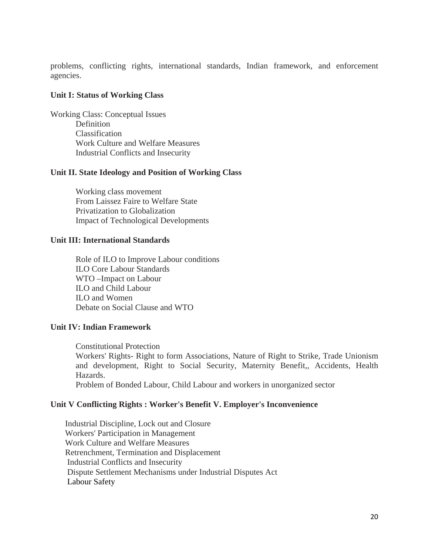problems, conflicting rights, international standards, Indian framework, and enforcement agencies.

#### **Unit I: Status of Working Class**

Working Class: Conceptual Issues **Definition** Classification Work Culture and Welfare Measures Industrial Conflicts and Insecurity

#### **Unit II. State Ideology and Position of Working Class**

Working class movement From Laissez Faire to Welfare State Privatization to Globalization Impact of Technological Developments

#### **Unit III: International Standards**

Role of ILO to Improve Labour conditions ILO Core Labour Standards WTO –Impact on Labour ILO and Child Labour ILO and Women Debate on Social Clause and WTO

#### **Unit IV: Indian Framework**

Constitutional Protection Workers' Rights- Right to form Associations, Nature of Right to Strike, Trade Unionism and development, Right to Social Security, Maternity Benefit,, Accidents, Health Hazards. Problem of Bonded Labour, Child Labour and workers in unorganized sector

#### **Unit V Conflicting Rights : Worker's Benefit V. Employer's Inconvenience**

 Industrial Discipline, Lock out and Closure Workers' Participation in Management Work Culture and Welfare Measures Retrenchment, Termination and Displacement Industrial Conflicts and Insecurity Dispute Settlement Mechanisms under Industrial Disputes Act Labour Safety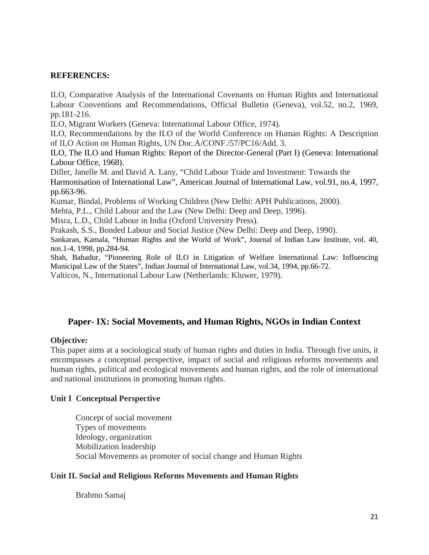### **REFERENCES:**

ILO, Comparative Analysis of the International Covenants on Human Rights and International Labour Conventions and Recommendations, Official Bulletin (Geneva), vol.52, no.2, 1969, pp.181-216.

ILO, Migrant Workers (Geneva: International Labour Office, 1974).

ILO, Recommendations by the ILO of the World Conference on Human Rights: A Description of ILO Action on Human Rights, UN Doc.A/CONF./57/PC16/Add. 3.

ILO, The ILO and Human Rights: Report of the Director-General (Part I) (Geneva: International Labour Office, 1968).

Diller, Janelle M. and David A. Lany, "Child Labour Trade and Investment: Towards the Harmonisation of International Law", American Journal of International Law, vol.91, no.4, 1997, pp.663-96.

Kumar, Bindal, Problems of Working Children (New Delhi: APH Publications, 2000).

Mehta, P.L., Child Labour and the Law (New Delhi: Deep and Deep, 1996).

Misra, L.D., Child Labour in India (Oxford University Press).

Prakash, S.S., Bonded Labour and Social Justice (New Delhi: Deep and Deep, 1990).

Sankaran, Kamala, "Human Rights and the World of Work", Journal of Indian Law Institute, vol. 40, nos.1-4, 1998, pp.284-94.

Shah, Bahadur, "Pioneering Role of ILO in Litigation of Welfare International Law: Influencing Municipal Law of the States", Indian Journal of International Law, vol.34, 1994, pp.66-72.

Valticos, N., International Labour Law (Netherlands: Kluwer, 1979).

## **Paper- IX: Social Movements, and Human Rights, NGOs in Indian Context**

### **Objective:**

This paper aims at a sociological study of human rights and duties in India. Through five units, it encompasses a conceptual perspective, impact of social and religious reforms movements and human rights, political and ecological movements and human rights, and the role of international and national institutions in promoting human rights.

#### **Unit I Conceptual Perspective**

Concept of social movement Types of movements Ideology, organization Mobilization leadership Social Movements as promoter of social change and Human Rights

#### **Unit II. Social and Religious Reforms Movements and Human Rights**

Brahmo Samaj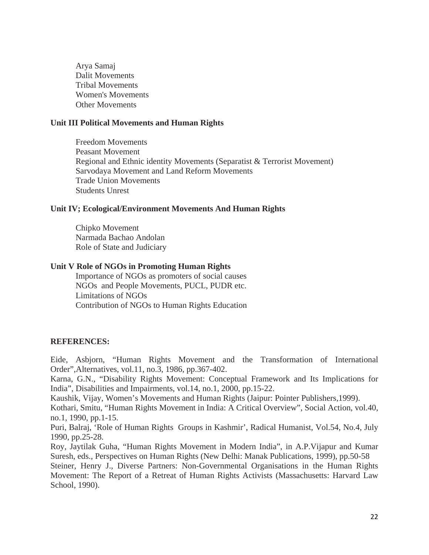Arya Samaj Dalit Movements Tribal Movements Women's Movements Other Movements

#### **Unit III Political Movements and Human Rights**

Freedom Movements Peasant Movement Regional and Ethnic identity Movements (Separatist & Terrorist Movement) Sarvodaya Movement and Land Reform Movements Trade Union Movements Students Unrest

#### **Unit IV; Ecological/Environment Movements And Human Rights**

Chipko Movement Narmada Bachao Andolan Role of State and Judiciary

#### **Unit V Role of NGOs in Promoting Human Rights**

Importance of NGOs as promoters of social causes NGOs and People Movements, PUCL, PUDR etc. Limitations of NGOs Contribution of NGOs to Human Rights Education

#### **REFERENCES:**

Eide, Asbjorn, "Human Rights Movement and the Transformation of International Order",Alternatives, vol.11, no.3, 1986, pp.367-402.

Karna, G.N., "Disability Rights Movement: Conceptual Framework and Its Implications for India", Disabilities and Impairments, vol.14, no.1, 2000, pp.15-22.

Kaushik, Vijay, Women's Movements and Human Rights (Jaipur: Pointer Publishers,1999).

Kothari, Smitu, "Human Rights Movement in India: A Critical Overview", Social Action, vol.40, no.1, 1990, pp.1-15.

Puri, Balraj, 'Role of Human Rights Groups in Kashmir', Radical Humanist, Vol.54, No.4, July 1990, pp.25-28.

Roy, Jaytilak Guha, "Human Rights Movement in Modern India", in A.P.Vijapur and Kumar Suresh, eds., Perspectives on Human Rights (New Delhi: Manak Publications, 1999), pp.50-58

Steiner, Henry J., Diverse Partners: Non-Governmental Organisations in the Human Rights Movement: The Report of a Retreat of Human Rights Activists (Massachusetts: Harvard Law School, 1990).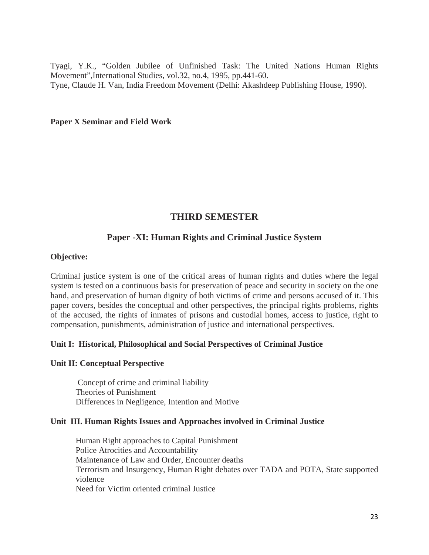Tyagi, Y.K., "Golden Jubilee of Unfinished Task: The United Nations Human Rights Movement",International Studies, vol.32, no.4, 1995, pp.441-60. Tyne, Claude H. Van, India Freedom Movement (Delhi: Akashdeep Publishing House, 1990).

#### **Paper X Seminar and Field Work**

## **THIRD SEMESTER**

## **Paper -XI: Human Rights and Criminal Justice System**

#### **Objective:**

Criminal justice system is one of the critical areas of human rights and duties where the legal system is tested on a continuous basis for preservation of peace and security in society on the one hand, and preservation of human dignity of both victims of crime and persons accused of it. This paper covers, besides the conceptual and other perspectives, the principal rights problems, rights of the accused, the rights of inmates of prisons and custodial homes, access to justice, right to compensation, punishments, administration of justice and international perspectives.

#### **Unit I: Historical, Philosophical and Social Perspectives of Criminal Justice**

#### **Unit II: Conceptual Perspective**

 Concept of crime and criminal liability Theories of Punishment Differences in Negligence, Intention and Motive

#### **Unit III. Human Rights Issues and Approaches involved in Criminal Justice**

Human Right approaches to Capital Punishment Police Atrocities and Accountability Maintenance of Law and Order, Encounter deaths Terrorism and Insurgency, Human Right debates over TADA and POTA, State supported violence Need for Victim oriented criminal Justice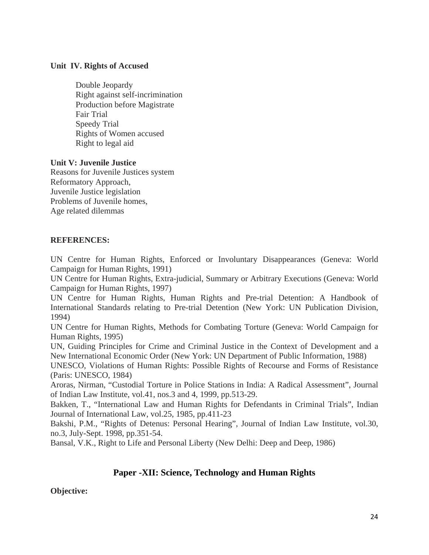### **Unit IV. Rights of Accused**

Double Jeopardy Right against self-incrimination Production before Magistrate Fair Trial Speedy Trial Rights of Women accused Right to legal aid

### **Unit V: Juvenile Justice**

Reasons for Juvenile Justices system Reformatory Approach, Juvenile Justice legislation Problems of Juvenile homes, Age related dilemmas

### **REFERENCES:**

UN Centre for Human Rights, Enforced or Involuntary Disappearances (Geneva: World Campaign for Human Rights, 1991)

UN Centre for Human Rights, Extra-judicial, Summary or Arbitrary Executions (Geneva: World Campaign for Human Rights, 1997)

UN Centre for Human Rights, Human Rights and Pre-trial Detention: A Handbook of International Standards relating to Pre-trial Detention (New York: UN Publication Division, 1994)

UN Centre for Human Rights, Methods for Combating Torture (Geneva: World Campaign for Human Rights, 1995)

UN, Guiding Principles for Crime and Criminal Justice in the Context of Development and a New International Economic Order (New York: UN Department of Public Information, 1988)

UNESCO, Violations of Human Rights: Possible Rights of Recourse and Forms of Resistance (Paris: UNESCO, 1984)

Aroras, Nirman, "Custodial Torture in Police Stations in India: A Radical Assessment", Journal of Indian Law Institute, vol.41, nos.3 and 4, 1999, pp.513-29.

Bakken, T., "International Law and Human Rights for Defendants in Criminal Trials", Indian Journal of International Law, vol.25, 1985, pp.411-23

Bakshi, P.M., "Rights of Detenus: Personal Hearing", Journal of Indian Law Institute, vol.30, no.3, July-Sept. 1998, pp.351-54.

Bansal, V.K., Right to Life and Personal Liberty (New Delhi: Deep and Deep, 1986)

## **Paper -XII: Science, Technology and Human Rights**

## **Objective:**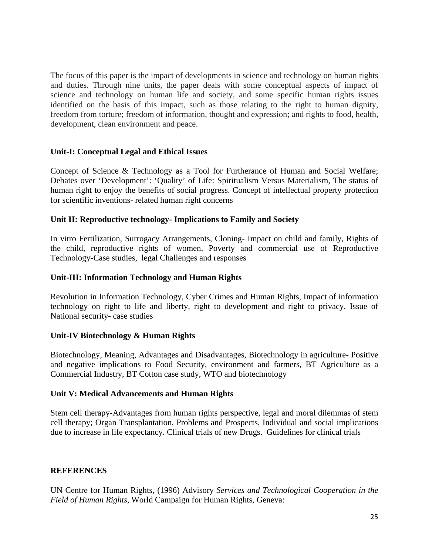The focus of this paper is the impact of developments in science and technology on human rights and duties. Through nine units, the paper deals with some conceptual aspects of impact of science and technology on human life and society, and some specific human rights issues identified on the basis of this impact, such as those relating to the right to human dignity, freedom from torture; freedom of information, thought and expression; and rights to food, health, development, clean environment and peace.

### **Unit-I: Conceptual Legal and Ethical Issues**

Concept of Science & Technology as a Tool for Furtherance of Human and Social Welfare; Debates over 'Development': 'Quality' of Life: Spiritualism Versus Materialism, The status of human right to enjoy the benefits of social progress. Concept of intellectual property protection for scientific inventions- related human right concerns

### **Unit II: Reproductive technology- Implications to Family and Society**

In vitro Fertilization, Surrogacy Arrangements, Cloning- Impact on child and family, Rights of the child, reproductive rights of women, Poverty and commercial use of Reproductive Technology-Case studies, legal Challenges and responses

#### **Unit-III: Information Technology and Human Rights**

Revolution in Information Technology, Cyber Crimes and Human Rights, Impact of information technology on right to life and liberty, right to development and right to privacy. Issue of National security- case studies

#### **Unit-IV Biotechnology & Human Rights**

Biotechnology, Meaning, Advantages and Disadvantages, Biotechnology in agriculture- Positive and negative implications to Food Security, environment and farmers, BT Agriculture as a Commercial Industry, BT Cotton case study, WTO and biotechnology

#### **Unit V: Medical Advancements and Human Rights**

Stem cell therapy**-**Advantages from human rights perspective, legal and moral dilemmas of stem cell therapy; Organ Transplantation, Problems and Prospects, Individual and social implications due to increase in life expectancy. Clinical trials of new Drugs. Guidelines for clinical trials

## **REFERENCES**

UN Centre for Human Rights, (1996) Advisory *Services and Technological Cooperation in the Field of Human Rights*, World Campaign for Human Rights, Geneva: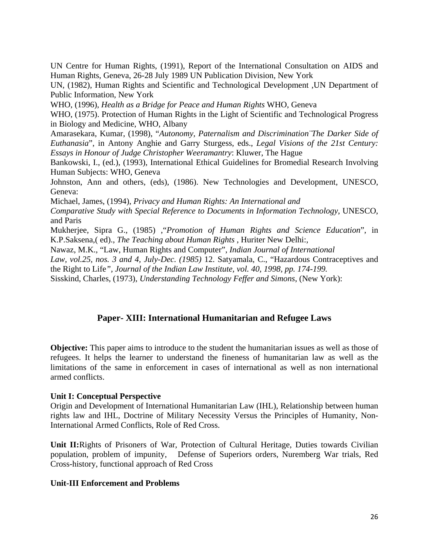UN Centre for Human Rights, (1991), Report of the International Consultation on AIDS and Human Rights, Geneva, 26-28 July 1989 UN Publication Division, New York

UN, (1982), Human Rights and Scientific and Technological Development ,UN Department of Public Information, New York

WHO, (1996), *Health as a Bridge for Peace and Human Rights* WHO, Geneva

WHO, (1975). Protection of Human Rights in the Light of Scientific and Technological Progress in Biology and Medicine, WHO, Albany

Amarasekara, Kumar, (1998), "*Autonomy, Paternalism and Discrimination¨The Darker Side of Euthanasia*", in Antony Anghie and Garry Sturgess, eds., *Legal Visions of the 21st Century: Essays in Honour of Judge Christopher Weeramantry*: Kluwer, The Hague

Bankowski, I., (ed.), (1993), International Ethical Guidelines for Bromedial Research Involving Human Subjects: WHO, Geneva

Johnston, Ann and others, (eds), (1986). New Technologies and Development, UNESCO, Geneva:

Michael, James, (1994), *Privacy and Human Rights: An International and* 

*Comparative Study with Special Reference to Documents in Information Technology*, UNESCO, and Paris

Mukherjee, Sipra G., (1985) ,"*Promotion of Human Rights and Science Education*", in K.P.Saksena,( ed)., *The Teaching about Human Rights* , Huriter New Delhi:,

Nawaz, M.K., "Law, Human Rights and Computer", *Indian Journal of International* 

*Law, vol.25, nos. 3 and 4, July-Dec. (1985)* 12. Satyamala, C., "Hazardous Contraceptives and the Right to Life*", Journal of the Indian Law Institute, vol. 40, 1998, pp. 174-199.* 

Sisskind, Charles, (1973), *Understanding Technology Feffer and Simons*, (New York):

## **Paper- XIII: International Humanitarian and Refugee Laws**

**Objective:** This paper aims to introduce to the student the humanitarian issues as well as those of refugees. It helps the learner to understand the fineness of humanitarian law as well as the limitations of the same in enforcement in cases of international as well as non international armed conflicts.

#### **Unit I: Conceptual Perspective**

Origin and Development of International Humanitarian Law (IHL), Relationship between human rights law and IHL, Doctrine of Military Necessity Versus the Principles of Humanity, Non-International Armed Conflicts, Role of Red Cross.

**Unit II:**Rights of Prisoners of War, Protection of Cultural Heritage, Duties towards Civilian population, problem of impunity, Defense of Superiors orders, Nuremberg War trials, Red Cross-history, functional approach of Red Cross

#### **Unit-III Enforcement and Problems**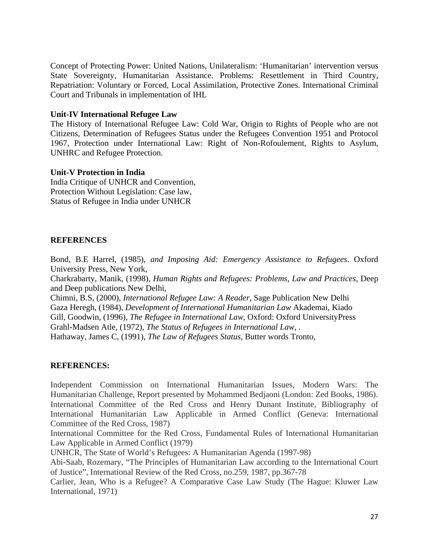Concept of Protecting Power: United Nations, Unilateralism: 'Humanitarian' intervention versus State Sovereignty, Humanitarian Assistance. Problems: Resettlement in Third Country, Repatriation: Voluntary or Forced, Local Assimilation, Protective Zones. International Criminal Court and Tribunals in implementation of IHL

#### **Unit-IV International Refugee Law**

The History of International Refugee Law: Cold War, Origin to Rights of People who are not Citizens, Determination of Refugees Status under the Refugees Convention 1951 and Protocol 1967, Protection under International Law: Right of Non-Rofoulement, Rights to Asylum, UNHRC and Refugee Protection.

#### **Unit-V Protection in India**

India Critique of UNHCR and Convention, Protection Without Legislation: Case law, Status of Refugee in India under UNHCR

#### **REFERENCES**

Bond, B.E Harrel, (1985), *and Imposing Aid: Emergency Assistance to Refugees*. Oxford University Press, New York,

Charkrabarty, Manik, (1998), *Human Rights and Refugees: Problems, Law and Practices,* Deep and Deep publications New Delhi,

Chimni, B.S, (2000), *International Refugee Law: A Reader*, Sage Publication New Delhi Gaza Heregh, (1984), *Development of International Humanitarian Law* Akademai, Kiado Gill, Goodwin, (1996), *The Refugee in International Law*, Oxford: Oxford UniversityPress Grahl-Madsen Atle, (1972), *The Status of Refugees in International Law*, . Hathaway, James C, (1991), *The Law of Refugees Status*, Butter words Tronto,

#### **REFERENCES:**

Independent Commission on International Humanitarian Issues, Modern Wars: The Humanitarian Challenge, Report presented by Mohammed Bedjaoni (London: Zed Books, 1986). International Committee of the Red Cross and Henry Dunant Institute, Bibliography of International Humanitarian Law Applicable in Armed Conflict (Geneva: International Committee of the Red Cross, 1987)

International Committee for the Red Cross, Fundamental Rules of International Humanitarian Law Applicable in Armed Conflict (1979)

UNHCR, The State of World's Refugees: A Humanitarian Agenda (1997-98)

Abi-Saab, Rozemary, "The Principles of Humanitarian Law according to the International Court of Justice", International Review of the Red Cross, no.259, 1987, pp.367-78

Carlier, Jean, Who is a Refugee? A Comparative Case Law Study (The Hague: Kluwer Law International, 1971)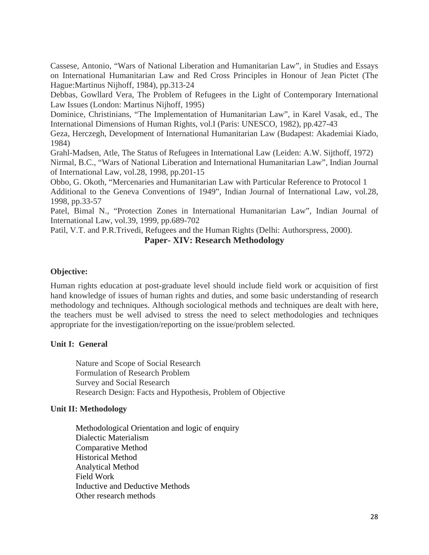Cassese, Antonio, "Wars of National Liberation and Humanitarian Law", in Studies and Essays on International Humanitarian Law and Red Cross Principles in Honour of Jean Pictet (The Hague:Martinus Nijhoff, 1984), pp.313-24

Debbas, Gowllard Vera, The Problem of Refugees in the Light of Contemporary International Law Issues (London: Martinus Nijhoff, 1995)

Dominice, Christinians, "The Implementation of Humanitarian Law", in Karel Vasak, ed., The International Dimensions of Human Rights, vol.I (Paris: UNESCO, 1982), pp.427-43

Geza, Herczegh, Development of International Humanitarian Law (Budapest: Akademiai Kiado, 1984)

Grahl-Madsen, Atle, The Status of Refugees in International Law (Leiden: A.W. Sijthoff, 1972) Nirmal, B.C., "Wars of National Liberation and International Humanitarian Law", Indian Journal of International Law, vol.28, 1998, pp.201-15

Obbo, G. Okoth, "Mercenaries and Humanitarian Law with Particular Reference to Protocol 1 Additional to the Geneva Conventions of 1949", Indian Journal of International Law, vol.28, 1998, pp.33-57

Patel, Bimal N., "Protection Zones in International Humanitarian Law", Indian Journal of International Law, vol.39, 1999, pp.689-702

Patil, V.T. and P.R.Trivedi, Refugees and the Human Rights (Delhi: Authorspress, 2000).

## **Paper- XIV: Research Methodology**

### **Objective:**

Human rights education at post-graduate level should include field work or acquisition of first hand knowledge of issues of human rights and duties, and some basic understanding of research methodology and techniques. Although sociological methods and techniques are dealt with here, the teachers must be well advised to stress the need to select methodologies and techniques appropriate for the investigation/reporting on the issue/problem selected.

#### **Unit I: General**

Nature and Scope of Social Research Formulation of Research Problem Survey and Social Research Research Design: Facts and Hypothesis, Problem of Objective

#### **Unit II: Methodology**

Methodological Orientation and logic of enquiry Dialectic Materialism Comparative Method Historical Method Analytical Method Field Work Inductive and Deductive Methods Other research methods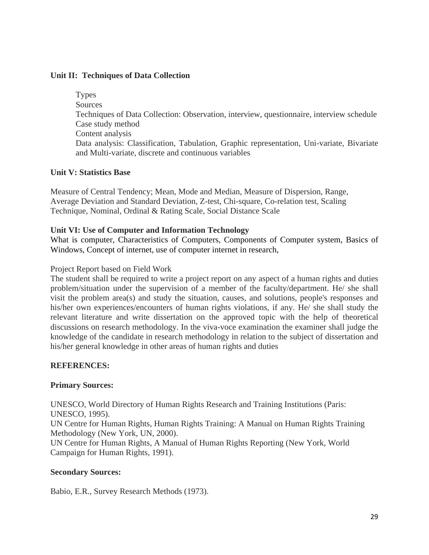### **Unit II: Techniques of Data Collection**

Types **Sources** Techniques of Data Collection: Observation, interview, questionnaire, interview schedule Case study method Content analysis Data analysis: Classification, Tabulation, Graphic representation, Uni-variate, Bivariate and Multi-variate, discrete and continuous variables

### **Unit V: Statistics Base**

Measure of Central Tendency; Mean, Mode and Median, Measure of Dispersion, Range, Average Deviation and Standard Deviation, Z-test, Chi-square, Co-relation test, Scaling Technique, Nominal, Ordinal & Rating Scale, Social Distance Scale

#### **Unit VI: Use of Computer and Information Technology**

What is computer, Characteristics of Computers, Components of Computer system, Basics of Windows, Concept of internet, use of computer internet in research,

#### Project Report based on Field Work

The student shall be required to write a project report on any aspect of a human rights and duties problem/situation under the supervision of a member of the faculty/department. He/ she shall visit the problem area(s) and study the situation, causes, and solutions, people's responses and his/her own experiences/encounters of human rights violations, if any. He/ she shall study the relevant literature and write dissertation on the approved topic with the help of theoretical discussions on research methodology. In the viva-voce examination the examiner shall judge the knowledge of the candidate in research methodology in relation to the subject of dissertation and his/her general knowledge in other areas of human rights and duties

#### **REFERENCES:**

#### **Primary Sources:**

UNESCO, World Directory of Human Rights Research and Training Institutions (Paris: UNESCO, 1995). UN Centre for Human Rights, Human Rights Training: A Manual on Human Rights Training Methodology (New York, UN, 2000). UN Centre for Human Rights, A Manual of Human Rights Reporting (New York, World Campaign for Human Rights, 1991).

#### **Secondary Sources:**

Babio, E.R., Survey Research Methods (1973).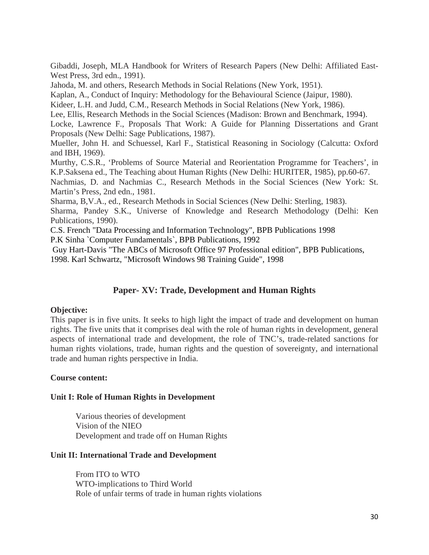Gibaddi, Joseph, MLA Handbook for Writers of Research Papers (New Delhi: Affiliated East-West Press, 3rd edn., 1991).

Jahoda, M. and others, Research Methods in Social Relations (New York, 1951).

Kaplan, A., Conduct of Inquiry: Methodology for the Behavioural Science (Jaipur, 1980).

Kideer, L.H. and Judd, C.M., Research Methods in Social Relations (New York, 1986).

Lee, Ellis, Research Methods in the Social Sciences (Madison: Brown and Benchmark, 1994).

Locke, Lawrence F., Proposals That Work: A Guide for Planning Dissertations and Grant Proposals (New Delhi: Sage Publications, 1987).

Mueller, John H. and Schuessel, Karl F., Statistical Reasoning in Sociology (Calcutta: Oxford and IBH, 1969).

Murthy, C.S.R., 'Problems of Source Material and Reorientation Programme for Teachers', in K.P.Saksena ed., The Teaching about Human Rights (New Delhi: HURITER, 1985), pp.60-67.

Nachmias, D. and Nachmias C., Research Methods in the Social Sciences (New York: St. Martin's Press, 2nd edn., 1981.

Sharma, B,V.A., ed., Research Methods in Social Sciences (New Delhi: Sterling, 1983).

Sharma, Pandey S.K., Universe of Knowledge and Research Methodology (Delhi: Ken Publications, 1990).

C.S. French "Data Processing and Information Technology", BPB Publications 1998

P.K Sinha `Computer Fundamentals`, BPB Publications, 1992

 Guy Hart-Davis "The ABCs of Microsoft Office 97 Professional edition", BPB Publications, 1998. Karl Schwartz, "Microsoft Windows 98 Training Guide", 1998

## **Paper- XV: Trade, Development and Human Rights**

#### **Objective:**

This paper is in five units. It seeks to high light the impact of trade and development on human rights. The five units that it comprises deal with the role of human rights in development, general aspects of international trade and development, the role of TNC's, trade-related sanctions for human rights violations, trade, human rights and the question of sovereignty, and international trade and human rights perspective in India.

#### **Course content:**

#### **Unit I: Role of Human Rights in Development**

 Various theories of development Vision of the NIEO Development and trade off on Human Rights

## **Unit II: International Trade and Development**

From ITO to WTO WTO-implications to Third World Role of unfair terms of trade in human rights violations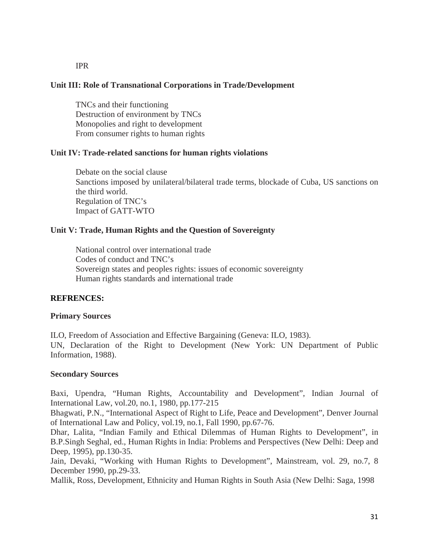#### IPR

#### **Unit III: Role of Transnational Corporations in Trade/Development**

TNCs and their functioning Destruction of environment by TNCs Monopolies and right to development From consumer rights to human rights

#### **Unit IV: Trade-related sanctions for human rights violations**

Debate on the social clause Sanctions imposed by unilateral/bilateral trade terms, blockade of Cuba, US sanctions on the third world. Regulation of TNC's Impact of GATT-WTO

#### **Unit V: Trade, Human Rights and the Question of Sovereignty**

National control over international trade Codes of conduct and TNC's Sovereign states and peoples rights: issues of economic sovereignty Human rights standards and international trade

#### **REFRENCES:**

#### **Primary Sources**

ILO, Freedom of Association and Effective Bargaining (Geneva: ILO, 1983). UN, Declaration of the Right to Development (New York: UN Department of Public Information, 1988).

#### **Secondary Sources**

Baxi, Upendra, "Human Rights, Accountability and Development", Indian Journal of International Law, vol.20, no.1, 1980, pp.177-215

Bhagwati, P.N., "International Aspect of Right to Life, Peace and Development", Denver Journal of International Law and Policy, vol.19, no.1, Fall 1990, pp.67-76.

Dhar, Lalita, "Indian Family and Ethical Dilemmas of Human Rights to Development", in B.P.Singh Seghal, ed., Human Rights in India: Problems and Perspectives (New Delhi: Deep and Deep, 1995), pp.130-35.

Jain, Devaki, "Working with Human Rights to Development", Mainstream, vol. 29, no.7, 8 December 1990, pp.29-33.

Mallik, Ross, Development, Ethnicity and Human Rights in South Asia (New Delhi: Saga, 1998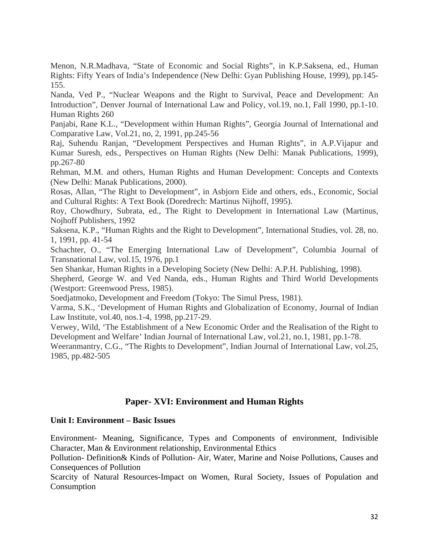Menon, N.R.Madhava, "State of Economic and Social Rights", in K.P.Saksena, ed., Human Rights: Fifty Years of India's Independence (New Delhi: Gyan Publishing House, 1999), pp.145- 155.

Nanda, Ved P., "Nuclear Weapons and the Right to Survival, Peace and Development: An Introduction", Denver Journal of International Law and Policy, vol.19, no.1, Fall 1990, pp.1-10. Human Rights 260

Panjabi, Rane K.L., "Development within Human Rights", Georgia Journal of International and Comparative Law, Vol.21, no, 2, 1991, pp.245-56

Raj, Suhendu Ranjan, "Development Perspectives and Human Rights", in A.P.Vijapur and Kumar Suresh, eds., Perspectives on Human Rights (New Delhi: Manak Publications, 1999), pp.267-80

Rehman, M.M. and others, Human Rights and Human Development: Concepts and Contexts (New Delhi: Manak Publications, 2000).

Rosas, Allan, "The Right to Development", in Asbjorn Eide and others, eds., Economic, Social and Cultural Rights: A Text Book (Doredrech: Martinus Nijhoff, 1995).

Roy, Chowdhury, Subrata, ed., The Right to Development in International Law (Martinus, Nojhoff Publishers, 1992

Saksena, K.P., "Human Rights and the Right to Development", International Studies, vol. 28, no. 1, 1991, pp. 41-54

Schachter, O., "The Emerging International Law of Development", Columbia Journal of Transnational Law, vol.15, 1976, pp.1

Sen Shankar, Human Rights in a Developing Society (New Delhi: A.P.H. Publishing, 1998).

Shepherd, George W. and Ved Nanda, eds., Human Rights and Third World Developments (Westport: Greenwood Press, 1985).

Soedjatmoko, Development and Freedom (Tokyo: The Simul Press, 1981).

Varma, S.K., 'Development of Human Rights and Globalization of Economy, Journal of Indian Law Institute, vol.40, nos.1-4, 1998, pp.217-29.

Verwey, Wild, 'The Establishment of a New Economic Order and the Realisation of the Right to Development and Welfare' Indian Journal of International Law, vol.21, no.1, 1981, pp.1-78.

Weeranmantry, C.G., "The Rights to Development", Indian Journal of International Law, vol.25, 1985, pp.482-505

## **Paper- XVI: Environment and Human Rights**

#### **Unit I: Environment – Basic Issues**

Environment- Meaning, Significance, Types and Components of environment, Indivisible Character, Man & Environment relationship, Environmental Ethics

Pollution- Definition& Kinds of Pollution- Air, Water, Marine and Noise Pollutions, Causes and Consequences of Pollution

Scarcity of Natural Resources-Impact on Women, Rural Society, Issues of Population and Consumption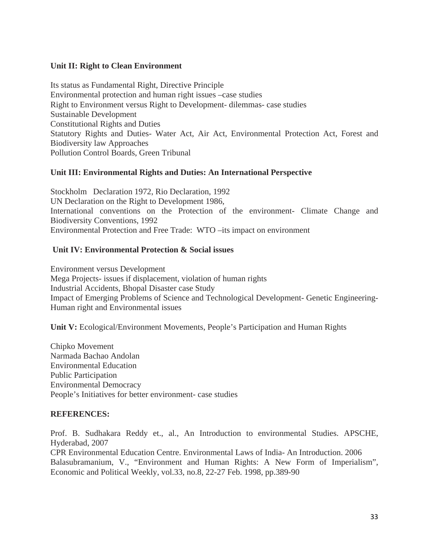### **Unit II: Right to Clean Environment**

Its status as Fundamental Right, Directive Principle Environmental protection and human right issues –case studies Right to Environment versus Right to Development- dilemmas- case studies Sustainable Development Constitutional Rights and Duties Statutory Rights and Duties- Water Act, Air Act, Environmental Protection Act, Forest and Biodiversity law Approaches Pollution Control Boards, Green Tribunal

### **Unit III: Environmental Rights and Duties: An International Perspective**

Stockholm Declaration 1972, Rio Declaration, 1992 UN Declaration on the Right to Development 1986, International conventions on the Protection of the environment- Climate Change and Biodiversity Conventions, 1992 Environmental Protection and Free Trade: WTO –its impact on environment

### **Unit IV: Environmental Protection & Social issues**

Environment versus Development Mega Projects- issues if displacement, violation of human rights Industrial Accidents, Bhopal Disaster case Study Impact of Emerging Problems of Science and Technological Development- Genetic Engineering-Human right and Environmental issues

**Unit V:** Ecological/Environment Movements, People's Participation and Human Rights

Chipko Movement Narmada Bachao Andolan Environmental Education Public Participation Environmental Democracy People's Initiatives for better environment- case studies

#### **REFERENCES:**

Prof. B. Sudhakara Reddy et., al., An Introduction to environmental Studies. APSCHE, Hyderabad, 2007 CPR Environmental Education Centre. Environmental Laws of India- An Introduction. 2006 Balasubramanium, V., "Environment and Human Rights: A New Form of Imperialism", Economic and Political Weekly, vol.33, no.8, 22-27 Feb. 1998, pp.389-90